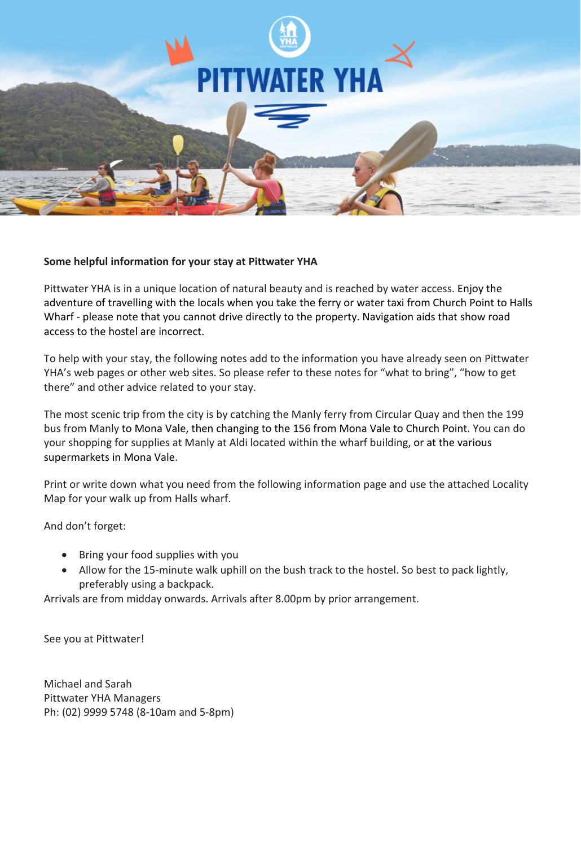

### **Some helpful information for your stay at Pittwater YHA**

Pittwater YHA is in a unique location of natural beauty and is reached by water access. Enjoy the adventure of travelling with the locals when you take the ferry or water taxi from Church Point to Halls Wharf - please note that you cannot drive directly to the property. Navigation aids that show road access to the hostel are incorrect.

To help with your stay, the following notes add to the information you have already seen on Pittwater YHA's web pages or other web sites. So please refer to these notes for "what to bring", "how to get there" and other advice related to your stay.

The most scenic trip from the city is by catching the Manly ferry from Circular Quay and then the 199 bus from Manly to Mona Vale, then changing to the 156 from Mona Vale to Church Point. You can do your shopping for supplies at Manly at Aldi located within the wharf building, or at the various supermarkets in Mona Vale.

Print or write down what you need from the following information page and use the attached Locality Map for your walk up from Halls wharf.

And don't forget:

- Bring your food supplies with you
- Allow for the 15-minute walk uphill on the bush track to the hostel. So best to pack lightly, preferably using a backpack.

Arrivals are from midday onwards. Arrivals after 8.00pm by prior arrangement.

See you at Pittwater!

Michael and Sarah Pittwater YHA Managers Ph: (02) 9999 5748 (8-10am and 5-8pm)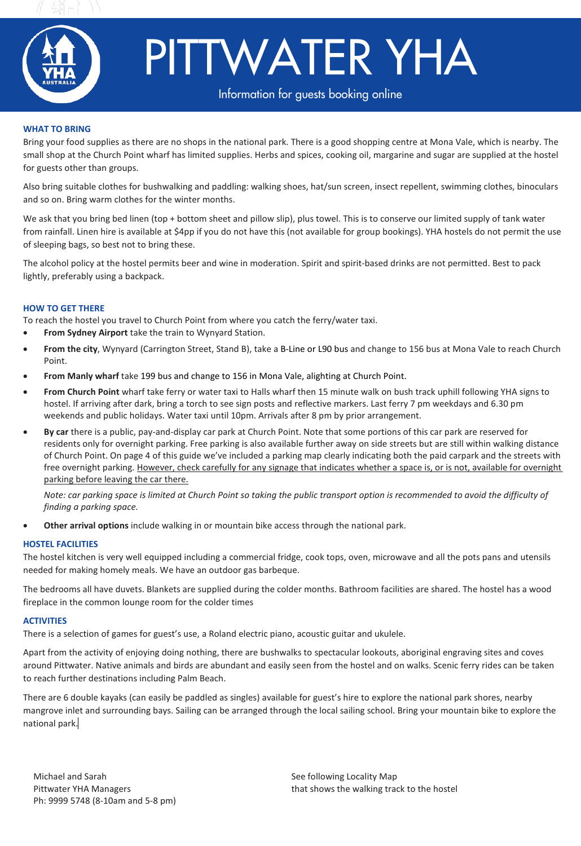



# PITTWATER YHA

## **Pittwater Yuan is surrounded 30 km north of Sydney. It is surrounded by the Ku-ring-gai Chase National Park & situated on a high-gai Chase National Park & situated on a high-gai Chase National Park & situated on a high-ga**

#### **WHAT TO BRING**

Bring your food supplies as there are no shops in the national park. There is a good shopping centre at Mona Vale, which is nearby. The small shop at the Church Point wharf has limited supplies. Herbs and spices, cooking oil, margarine and sugar are supplied at the hostel for guests other than groups.

Also bring suitable clothes for bushwalking and paddling: walking shoes, hat/sun screen, insect repellent, swimming clothes, binoculars and so on. Bring warm clothes for the winter months.

We ask that you bring bed linen (top + bottom sheet and pillow slip), plus towel. This is to conserve our limited supply of tank water from rainfall. Linen hire is available at \$4pp if you do not have this (not available for group bookings). YHA hostels do not permit the use of sleeping bags, so best not to bring these.

The alcohol policy at the hostel permits beer and wine in moderation. Spirit and spirit-based drinks are not permitted. Best to pack lightly, preferably using a backpack.

#### **HOW TO GET THERE**

To reach the hostel you travel to Church Point from where you catch the ferry/water taxi.

- **From Sydney Airport** take the train to Wynyard Station.
- **From the city**, Wynyard (Carrington Street, Stand B), take a B-Line or L90 bus and change to 156 bus at Mona Vale to reach Church Point.
- **From Manly wharf** take 199 bus and change to 156 in Mona Vale, alighting at Church Point.
- **From Church Point** wharf take ferry or water taxi to Halls wharf then 15 minute walk on bush track uphill following YHA signs to hostel. If arriving after dark, bring a torch to see sign posts and reflective markers. Last ferry 7 pm weekdays and 6.30 pm weekends and public holidays. Water taxi until 10pm. Arrivals after 8 pm by prior arrangement.
- **By car** there is a public, pay-and-display car park at Church Point. Note that some portions of this car park are reserved for residents only for overnight parking. Free parking is also available further away on side streets but are still within walking distance of Church Point. On page 4 of this guide we've included a parking map clearly indicating both the paid carpark and the streets with free overnight parking. However, check carefully for any signage that indicates whether a space is, or is not, available for overnight parking before leaving the car there.

*Note: car parking space is limited at Church Point so taking the public transport option is recommended to avoid the difficulty of finding a parking space.*

• **Other arrival options** include walking in or mountain bike access through the national park.

#### **HOSTEL FACILITIES**

The hostel kitchen is very well equipped including a commercial fridge, cook tops, oven, microwave and all the pots pans and utensils needed for making homely meals. We have an outdoor gas barbeque.

The bedrooms all have duvets. Blankets are supplied during the colder months. Bathroom facilities are shared. The hostel has a wood fireplace in the common lounge room for the colder times

#### **ACTIVITIES**

There is a selection of games for guest's use, a Roland electric piano, acoustic guitar and ukulele.

Apart from the activity of enjoying doing nothing, there are bushwalks to spectacular lookouts, aboriginal engraving sites and coves around Pittwater. Native animals and birds are abundant and easily seen from the hostel and on walks. Scenic ferry rides can be taken to reach further destinations including Palm Beach.

There are 6 double kayaks (can easily be paddled as singles) available for guest's hire to explore the national park shores, nearby mangrove inlet and surrounding bays. Sailing can be arranged through the local sailing school. Bring your mountain bike to explore the national park.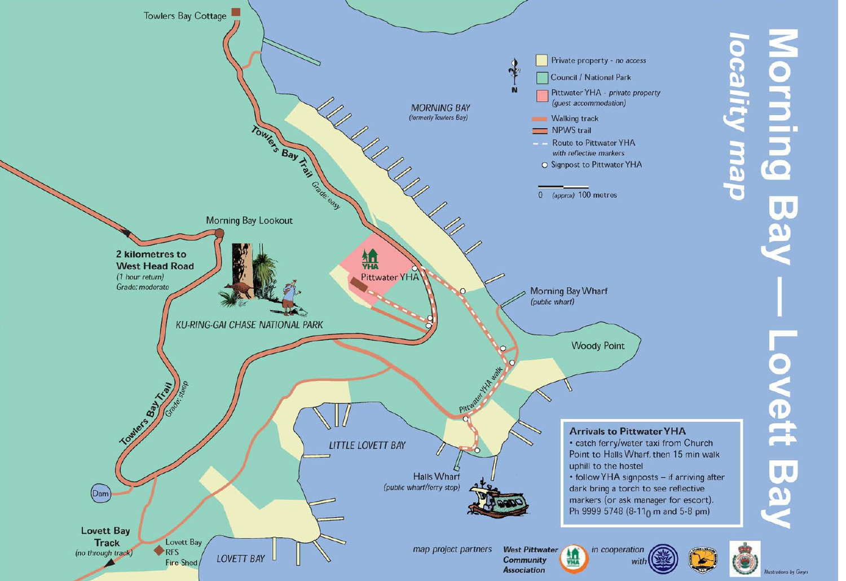